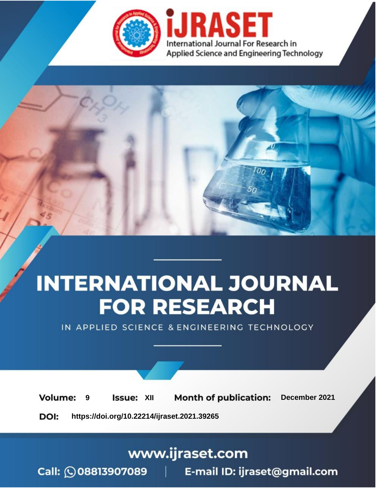

# **INTERNATIONAL JOURNAL FOR RESEARCH**

IN APPLIED SCIENCE & ENGINEERING TECHNOLOGY

**Month of publication: Volume: Issue: XII** December 2021 9 DOI: https://doi.org/10.22214/ijraset.2021.39265

www.ijraset.com

Call: 008813907089 | E-mail ID: ijraset@gmail.com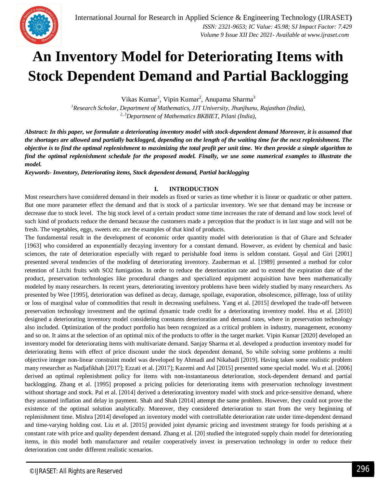### **An Inventory Model for Deteriorating Items with Stock Dependent Demand and Partial Backlogging**

Vikas Kumar<sup>1</sup>, Vipin Kumar<sup>2</sup>, Anupama Sharma<sup>3</sup>

*<sup>1</sup>Research Scholar, Department of Mathematics, JJT University, Jhunjhunu, Rajasthan (India), 2, <sup>3</sup>Department of Mathematics BKBIET, Pilani (India),*

*Abstract: In this paper, we formulate a deteriorating inventory model with stock-dependent demand Moreover, it is assumed that the shortages are allowed and partially backlogged, depending on the length of the waiting time for the next replenishment. The objective is to find the optimal replenishment to maximizing the total profit per unit time. We then provide a simple algorithm to find the optimal replenishment schedule for the proposed model. Finally, we use some numerical examples to illustrate the model.*

*Keywords- Inventory, Deteriorating items, Stock dependent demand, Partial backlogging* 

#### **I. INTRODUCTION**

Most researchers have considered demand in their models as fixed or varies as time whether it is linear or quadratic or other pattern. But one more parameter effect the demand and that is stock of a particular inventory. We see that demand may be increase or decrease due to stock level. The big stock level of a certain product some time increases the rate of demand and low stock level of such kind of products reduce the demand because the customers made a perception that the product is in last stage and will not be fresh. The vegetables, eggs, sweets etc. are the examples of that kind of products.

The fundamental result in the development of economic order quantity model with deterioration is that of Ghare and Schrader [1963] who considered an exponentially decaying inventory for a constant demand. However, as evident by chemical and basic sciences, the rate of deterioration especially with regard to perishable food items is seldom constant. Goyal and Giri [2001] presented several tendencies of the modeling of deteriorating inventory. Zauberman et al. [1989] presented a method for color retention of Litchi fruits with SO2 fumigation. In order to reduce the deterioration rate and to extend the expiration date of the product, preservation technologies like procedural changes and specialized equipment acquisition have been mathematically modeled by many researchers. In recent years, deteriorating inventory problems have been widely studied by many researchers. As presented by Wee [1995], deterioration was defined as decay, damage, spoilage, evaporation, obsolescence, pilferage, loss of utility or loss of marginal value of commodities that result in decreasing usefulness. Yang et al. [2015] developed the trade-off between preservation technology investment and the optimal dynamic trade credit for a deteriorating inventory model. Hsu et al. [2010] designed a deteriorating inventory model considering constants deterioration and demand rates, where in preservation technology also included. Optimization of the product portfolio has been recognized as a critical problem in industry, management, economy and so on. It aims at the selection of an optimal mix of the products to offer in the target market. Vipin Kumar [2020] developed an inventory model for deteriorating items with multivariate demand. Sanjay Sharma et al. developed a production inventory model for deteriorating Items with effect of price discount under the stock dependent demand, So while solving some problems a multi objective integer non-linear constraint model was developed by Ahmadi and Nikabadi [2019]. Having taken some realistic problem many researcher as Nadjafikhah [2017]; Ezzati et al. [2017]; Kazemi and Asl [2015] presented some special model. Wu et al. [2006] derived an optimal replenishment policy for items with non-instantaneous deterioration, stock-dependent demand and partial backlogging. Zhang et al. [1995] proposed a pricing policies for deteriorating items with preservation technology investment without shortage and stock. Pal et al. [2014] derived a deteriorating inventory model with stock and price-sensitive demand, where they assumed inflation and delay in payment. Shah and Shah [2014] attempt the same problem. However, they could not prove the existence of the optimal solution analytically. Moreover, they considered deterioration to start from the very beginning of replenishment time. Mishra [2014] developed an inventory model with controllable deterioration rate under time-dependent demand and time-varying holding cost. Liu et al. [2015] provided joint dynamic pricing and investment strategy for foods perishing at a constant rate with price and quality dependent demand. Zhang et al. [20] studied the integrated supply chain model for deteriorating items, in this model both manufacturer and retailer cooperatively invest in preservation technology in order to reduce their deterioration cost under different realistic scenarios.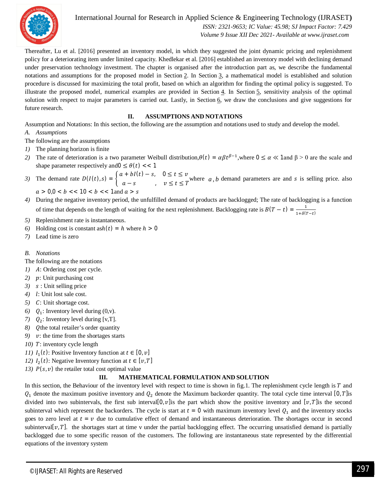

International Journal for Research in Applied Science & Engineering Technology (IJRASET**)**

 *ISSN: 2321-9653; IC Value: 45.98; SJ Impact Factor: 7.429 Volume 9 Issue XII Dec 2021- Available at www.ijraset.com*

Thereafter, Lu et al. [2016] presented an inventory model, in which they suggested the joint dynamic pricing and replenishment policy for a deteriorating item under limited capacity. Khedlekar et al. [2016] established an inventory model with declining demand under preservation technology investment. The chapter is organised after the introduction part as, we describe the fundamental notations and assumptions for the proposed model in Section 2. In Section 3, a mathematical model is established and solution procedure is discussed for maximizing the total profit, based on which an algorithm for finding the optimal policy is suggested. To illustrate the proposed model, numerical examples are provided in Section  $\frac{4}{1}$ . In Section  $\frac{5}{1}$ , sensitivity analysis of the optimal solution with respect to major parameters is carried out. Lastly, in Section 6, we draw the conclusions and give suggestions for future research.

#### **II. ASSUMPTIONS AND NOTATIONS**

Assumption and Notations: In this section, the following are the assumption and notations used to study and develop the model. *A. Assumptions*

- The following are the assumptions
- *1)* The planning horizon is finite
- 2) The rate of deterioration is a two parameter Weibull distribution, $\theta(t) = \alpha \beta t^{\beta-1}$ , where  $0 \le \alpha \ll 1$  and  $\beta > 0$  are the scale and shape parameter respectively and  $0 \leq \theta(t)$  << 1
- 3) The demand rate  $D(I(t), s) = \begin{cases} a + bI(t) s, & 0 \le t \le v \\ 0, & \text{if } t \le T \end{cases}$  $a - s$ ,  $v \le t \le T$  where  $a, b$  demand parameters are and s is selling price. also

$$
a > 0, 0 < b << 10 < b << 1
$$
 and 
$$
a > s
$$

- *4)* During the negative inventory period, the unfulfilled demand of products are backlogged; The rate of backlogging is a function of time that depends on the length of waiting for the next replenishment. Backlogging rate is  $B(T - t) = \frac{1}{1 + S(t)}$  $1+\delta(T-t)$
- *5)* Replenishment rate is instantaneous.
- *6*) Holding cost is constant as $h(t) = h$  where  $h > 0$
- *7)* Lead time is zero

#### *B. Notations*

The following are the notations

- *1*) *A*: Ordering cost per cycle.
- 2) p: Unit purchasing cost
- 3) *s* : Unit selling price
- 4) *l*: Unit lost sale cost.
- 5) C: Unit shortage cost.
- *6*)  $Q_1$ : Inventory level during  $(0, v)$ .
- 7)  $Q_2$ : Inventory level during [v,T].
- *8*) *Q*the total retailer's order quantity
- *9) v*: the time from the shortages starts
- *10)* T: inventory cycle length
- *(11)*  $I_1(t)$ : Positive Inventory function at  $t \in [0, v]$
- *(12)*  $I_2(t)$ : Negative Inventory function at  $t \in [v, T]$
- *13)*  $P(s, v)$  the retailer total cost optimal value

#### **III. MATHEMATICAL FORMULATION AND SOLUTION**

In this section, the Behaviour of the inventory level with respect to time is shown in fig.1. The replenishment cycle length is T and  $Q_1$  denote the maximum positive inventory and  $Q_2$  denote the Maximum backorder quantity. The total cycle time interval [0, T]is divided into two subintervals, the first sub interval[0, v] is the part which show the positive inventory and [v, T] is the second subinterval which represent the backorders. The cycle is start at  $t = 0$  with maximum inventory level  $Q_1$  and the inventory stocks goes to zero level at  $t = v$  due to cumulative effect of demand and instantaneous deterioration. The shortages occur in second subinterval[ $v, T$ ]. the shortages start at time v under the partial backlogging effect. The occurring unsatisfied demand is partially backlogged due to some specific reason of the customers. The following are instantaneous state represented by the differential equations of the inventory system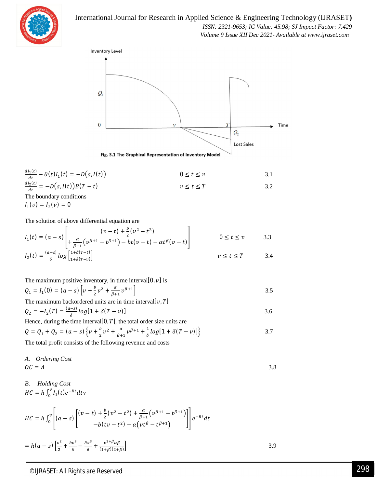

International Journal for Research in Applied Science & Engineering Technology (IJRASET**)**  *ISSN: 2321-9653; IC Value: 45.98; SJ Impact Factor: 7.429*

 *Volume 9 Issue XII Dec 2021- Available at www.ijraset.com*



$$
\frac{dI_1(t)}{dt} - \theta(t)I_1(t) = -D(s, I(t))
$$
\n
$$
0 \le t \le v
$$
\n
$$
\frac{dI_2(t)}{dt} = -D(s, I(t))B(T - t)
$$
\n
$$
v \le t \le T
$$
\n
$$
0 \le t \le v
$$
\n
$$
3.1
$$
\n
$$
0 \le t \le 0
$$
\n
$$
3.2
$$

 $I_1(v) = I_2(v) = 0$ 

The solution of above differential equation are

$$
I_1(t) = (a - s) \left[ \begin{array}{cc} (v - t) + \frac{b}{2} (v^2 - t^2) \\ + \frac{a}{\beta + 1} (v^{\beta + 1} - t^{\beta + 1}) - bt(v - t) - \alpha t^{\beta} (v - t) \end{array} \right] \qquad 0 \le t \le v \qquad 3.3
$$
  

$$
I_1(t) = \frac{(a - s)}{2} \log \left[ \frac{1 + \delta (T - t)}{2} \right]
$$

$$
I_2(t) = \frac{(a-s)}{\delta} \log \left[ \frac{1+\delta(T-t)}{1+\delta(T-v)} \right] \qquad \qquad v \le t \le T \qquad \qquad 3.4
$$

The maximum positive inventory, in time interval[0, v] is  
\n
$$
Q_1 = I_1(0) = (a - s) \left[ v + \frac{b}{2} v^2 + \frac{a}{\beta + 1} v^{\beta + 1} \right]
$$
\n
$$
3.5
$$
\nThe maximum background units are in time interval[ $v$  T]

$$
Q_2 = -I_2(T) = \frac{(a-s)}{\delta} \log[1 + \delta(T - v)]
$$

Hence, during the time interval[0, T], the total order size units are  
\n
$$
Q = Q_1 + Q_2 = (a - s) \left\{ v + \frac{b}{2} v^2 + \frac{a}{\beta + 1} v^{\beta + 1} + \frac{1}{\delta} \log[1 + \delta(T - v)] \right\}
$$
\n3.7

The total profit consists of the following revenue and costs

A. *Ordering Cost*  

$$
OC = A
$$
 3.8

B. *Holding Cost*  

$$
HC = h \int_0^v I_1(t) e^{-Rt} dt v
$$

$$
HC = h \int_0^{\nu} \left[ (a - s) \left[ \frac{(v - t) + \frac{b}{2} (v^2 - t^2) + \frac{\alpha}{\beta + 1} (v^{\beta + 1} - t^{\beta + 1})}{-b (t v - t^2) - \alpha (v t^{\beta} - t^{\beta + 1})} \right] \right] e^{-Rt} dt
$$
  
=  $h(a - s) \left[ \frac{v^2}{2} + \frac{b v^3}{6} - \frac{R v^3}{6} + \frac{v^{2 + \beta} \alpha \beta}{(1 + \beta)(2 + \beta)} \right]$  3.9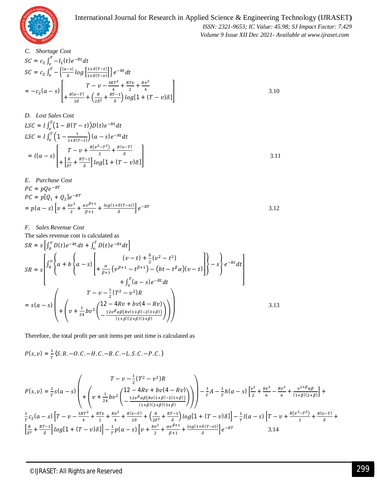

 *ISSN: 2321-9653; IC Value: 45.98; SJ Impact Factor: 7.429 Volume 9 Issue XII Dec 2021- Available at www.ijraset.com*

3.10

*C. Shortage Cost*  $SC = c_2 \int_v^T -I_2(t) e^{-Rt} dt$  $SC = c_2 \int_v^T -\left\{\frac{(a-s)}{s}\right\}$  $\frac{-s}{\delta}$  log  $\frac{1+\delta(T-t)}{1+\delta(T-v)}$  $\int_v^T -\left\{\frac{(a-s)}{\delta}\log\left[\frac{1+\delta(T-t)}{1+\delta(T-v)}\right]\right\}e^{-Rt}dt$  $= -c_2(a-s)$  $T - \nu - \frac{3RT^2}{4}$  $\frac{RT^2}{4} + \frac{RTv}{2}$  $\frac{Tv}{2} + \frac{Rv^2}{4}$ ସ  $+\frac{R(v-T)}{2S}$  $rac{v-T}{2\delta} + \left(\frac{R}{2\delta}\right)$  $rac{R}{2\delta^2} + \frac{RT-1}{\delta}$  $\left(\frac{-1}{\delta}\right)$ log[1 +  $(T-v)\delta$ ]

D. *Loss Sales Cost*  
\n
$$
LSC = l \int_{\nu}^{T} (1 - B(T - t)) D(t) e^{-Rt} dt
$$
\n
$$
LSC = l \int_{\nu}^{T} (1 - \frac{1}{1 + \delta(T - t)}) (a - s) e^{-Rt} dt
$$
\n
$$
= l(a - s) \left[ \frac{T - \nu + \frac{R(\nu^2 - T^2)}{2} + \frac{R(\nu - T)}{\delta}}{1 + \frac{R}{\delta^2} + \frac{RT - 1}{\delta} \right] \log[1 + (T - \nu)\delta]
$$
\n3.11

E. Purchase Cost  
\n
$$
PC = pQe^{-RT}
$$
\n
$$
PC = p[Q_1 + Q_2]e^{-RT}
$$
\n
$$
= p(a - s) \left[ v + \frac{bv^2}{2} + \frac{\alpha v^{\beta+1}}{\beta+1} + \frac{\log(1 + \delta(T - v))}{\delta} \right] e^{-RT}
$$
\n3.12

*F. Sales Revenue Cost*

The sales revenue cost is calculated as

$$
SR = s \left[ \int_0^v D(t) e^{-Rt} dt + \int_v^T D(t) e^{-Rt} dt \right]
$$
  
\n
$$
SR = s \left[ \int_0^v \left\{ a + b \left\{ a - s \right\} \left[ + \frac{\alpha}{\beta + 1} \left( v^{\beta + 1} - t^{\beta + 1} \right) - \left( bt - t^{\beta} \alpha \right) (v - t) \right] \right\} - s \right\} e^{-Rt} dt \right]
$$
  
\n
$$
+ \int_v^T (a - s) e^{-Rt} dt
$$
  
\n
$$
= s(a - s) \left( + \left( v + \frac{1}{24} b v^2 \left( \frac{12 - 4Rv + bv(4 - Rv)}{12v^{\beta} \alpha \beta \left( Rv(1 + \beta) - 2(3 + \beta) \right)} \right) \right) \right)
$$
  
\n3.13

Therefore, the total profit per unit items per unit time is calculated as

$$
P(s, v) = \frac{1}{T} \{S.R. - O.C. - H.C. - B.C. - L.S.C. - P.C.\}
$$
  
\n
$$
P(s, v) = \frac{1}{T} S(a - s) \left( \frac{T - v - \frac{1}{2} (T^2 - v^2) R}{\left( v + \frac{1}{24} b v^2 \left( \frac{12 - 4Rv + bv + v(4 - Rv)}{1 + \beta (2 + \beta)(3 + \beta)} \right) \right)} \right) - \frac{1}{T} A - \frac{1}{T} h(a - s) \left[ \frac{v^2}{2} + \frac{bv^3}{6} - \frac{Rv^3}{6} + \frac{v^{2 + \beta} a\beta}{(1 + \beta)(2 + \beta)} \right] + \frac{1}{T} c_2 (a - s) \left[ T - v - \frac{3RT^2}{4} + \frac{RTv}{2} + \frac{Rv^2}{4} + \frac{R(v - T)}{2\delta} + \frac{R(v - T)}{2\delta} + \frac{R(v - T)}{2\delta} + \frac{R(v - T)}{2\delta} + \frac{R(v - T)}{2\delta} + \frac{R(v - T)}{2\delta} + \frac{R(v - T)}{2\delta} + \frac{R(v - T)}{2\delta} + \frac{R(v - T)}{2\delta} + \frac{R(v - T)}{2\delta} + \frac{R(v - T)}{2\delta} + \frac{R(v - T)}{2\delta} + \frac{R(v - T)}{2\delta} + \frac{R(v - T)}{2\delta} + \frac{R(v - T)}{2\delta} + \frac{R(v - T)}{2\delta} + \frac{R(v - T)}{2\delta} + \frac{R(v - T)}{2\delta} + \frac{R(v - T)}{2\delta} + \frac{R(v - T)}{2\delta} + \frac{R(v - T)}{2\delta} + \frac{R(v - T)}{2\delta} + \frac{R(v - T)}{2\delta} + \frac{R(v - T)}{2\delta} + \frac{R(v - T)}{2\delta} + \frac{R(v - T)}{2\delta} + \frac{R(v - T)}{2\delta} + \frac{R(v - T)}{2\delta} + \frac{R(v - T)}{2\delta} + \frac{R(v - T)}{2\delta} + \frac{R(v - T)}{2\delta} + \frac{R(v - T)}{2\delta} + \frac{R(v - T)}{2\delta
$$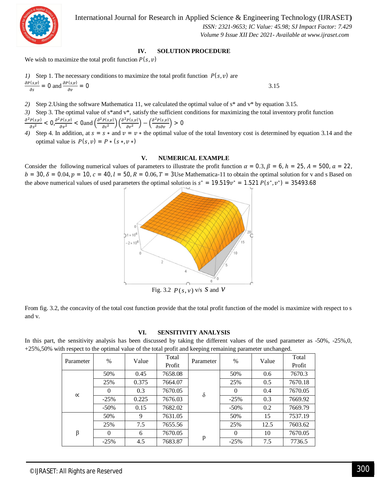

International Journal for Research in Applied Science & Engineering Technology (IJRASET**)**

 *ISSN: 2321-9653; IC Value: 45.98; SJ Impact Factor: 7.429 Volume 9 Issue XII Dec 2021- Available at www.ijraset.com*

#### **IV. SOLUTION PROCEDURE**

We wish to maximize the total profit function  $P(s, v)$ 

*I*) Step 1. The necessary conditions to maximize the total profit function 
$$
P(s, v)
$$
 are  $\frac{\partial P(s, v)}{\partial s} = 0$  and  $\frac{\partial P(s, v)}{\partial v} = 0$ 

*2)* Step 2.Using the software Mathematica 11, we calculated the optimal value of s\* and v\* by equation 3.15.

*3)* Step 3. The optimal value of s\*and v\*, satisfy the sufficient conditions for maximizing the total inventory profit function  $\partial^2 P(s,v)$  $\frac{P(s,v)}{\partial s^2} < 0, \frac{\partial^2 P(s,v)}{\partial v^2}$  $\frac{P(s,v)}{\partial v^2}$  < 0and  $\left(\frac{\partial^2 P(s,v)}{\partial s^2}\right)$  $\left(\frac{P(s,v)}{\partial s^2}\right) \left(\frac{\partial^2 P(s,v)}{\partial v^2}\right)$  $\left(\frac{P(s,v)}{\partial v^2}\right) - \left(\frac{\partial^2 P(s,v)}{\partial s \partial v}\right) > 0$ 

*4*) Step 4. In addition, at  $s = s *$  and  $v = v *$  the optimal value of the total Inventory cost is determined by equation 3.14 and the optimal value is  $P(s, v) = P * (s*, v*)$ 

#### **V. NUMERICAL EXAMPLE**

Consider the following numerical values of parameters to illustrate the profit function  $\alpha = 0.3$ ,  $\beta = 6$ ,  $h = 25$ ,  $A = 500$ ,  $\alpha = 22$ ,  $b = 30$ ,  $\delta = 0.04$ ,  $p = 10$ ,  $c = 40$ ,  $l = 50$ ,  $R = 0.06$ ,  $T = 3$ Use Mathematica-11 to obtain the optimal solution for v and s Based on the above numerical values of used parameters the optimal solution is  $s^* = 19.519v^* = 1.521 P(s^*, v^*) = 35493.68$ 



Fig. 3.2  $P(s, v)$  v/s  $S$  and  $V$ 

From fig. 3.2, the concavity of the total cost function provide that the total profit function of the model is maximize with respect to s and v.

#### **VI. SENSITIVITY ANALYSIS**

In this part, the sensitivity analysis has been discussed by taking the different values of the used parameter as -50%, -25%,0, +25%,50% with respect to the optimal value of the total profit and keeping remaining parameter unchanged.

| Parameter | $\%$    | Value | Total   | Parameter | $\%$     | Value | Total   |
|-----------|---------|-------|---------|-----------|----------|-------|---------|
|           |         |       | Profit  |           |          |       | Profit  |
| $\propto$ | 50%     | 0.45  | 7658.08 | $\delta$  | 50%      | 0.6   | 7670.3  |
|           | 25%     | 0.375 | 7664.07 |           | 25%      | 0.5   | 7670.18 |
|           | 0       | 0.3   | 7670.05 |           |          | 0.4   | 7670.05 |
|           | $-25%$  | 0.225 | 7676.03 |           | $-25%$   | 0.3   | 7669.92 |
|           | $-50\%$ | 0.15  | 7682.02 |           | $-50\%$  | 0.2   | 7669.79 |
| $\beta$   | 50%     | 9     | 7631.05 | p         | 50%      | 15    | 7537.19 |
|           | 25%     | 7.5   | 7655.56 |           | 25%      | 12.5  | 7603.62 |
|           | 0       | 6     | 7670.05 |           | $\theta$ | 10    | 7670.05 |
|           | $-25%$  | 4.5   | 7683.87 |           | $-25%$   | 7.5   | 7736.5  |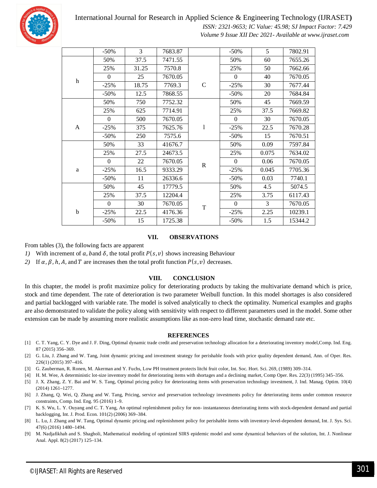

International Journal for Research in Applied Science & Engineering Technology (IJRASET**)**

 *ISSN: 2321-9653; IC Value: 45.98; SJ Impact Factor: 7.429 Volume 9 Issue XII Dec 2021- Available at www.ijraset.com*

|              | $-50%$         | 3     | 7683.87 |             | $-50%$           | 5     | 7802.91 |
|--------------|----------------|-------|---------|-------------|------------------|-------|---------|
|              | 50%            | 37.5  | 7471.55 |             | 50%              | 60    | 7655.26 |
| h            | 25%            | 31.25 | 7570.8  | $\mathsf C$ | 25%              | 50    | 7662.66 |
|              | $\overline{0}$ | 25    | 7670.05 |             | $\mathbf{0}$     | 40    | 7670.05 |
|              | $-25%$         | 18.75 | 7769.3  |             | $-25%$           | 30    | 7677.44 |
|              | $-50%$         | 12.5  | 7868.55 |             | $-50%$           | 20    | 7684.84 |
|              | 50%            | 750   | 7752.32 |             | 50%              | 45    | 7669.59 |
|              | 25%            | 625   | 7714.91 |             | 25%              | 37.5  | 7669.82 |
| $\mathbf{A}$ | $\overline{0}$ | 500   | 7670.05 | 1           | $\mathbf{0}$     | 30    | 7670.05 |
|              | $-25%$         | 375   | 7625.76 |             | $-25%$           | 22.5  | 7670.28 |
|              | $-50%$         | 250   | 7575.6  |             | $-50%$           | 15    | 7670.51 |
|              | 50%            | 33    | 41676.7 |             | 50%              | 0.09  | 7597.84 |
| a            | 25%            | 27.5  | 24673.5 | $\mathbf R$ | 25%              | 0.075 | 7634.02 |
|              | $\mathbf{0}$   | 22    | 7670.05 |             | $\boldsymbol{0}$ | 0.06  | 7670.05 |
|              | $-25%$         | 16.5  | 9333.29 |             | $-25%$           | 0.045 | 7705.36 |
|              | $-50%$         | 11    | 26336.6 |             | $-50%$           | 0.03  | 7740.1  |
|              | 50%            | 45    | 17779.5 |             | 50%              | 4.5   | 5074.5  |
| $\mathbf b$  | 25%            | 37.5  | 12204.4 | $\mathbf T$ | 25%              | 3.75  | 6117.43 |
|              | $\overline{0}$ | 30    | 7670.05 |             | $\mathbf{0}$     | 3     | 7670.05 |
|              | $-25%$         | 22.5  | 4176.36 |             | $-25%$           | 2.25  | 10239.1 |
|              | $-50%$         | 15    | 1725.38 |             | $-50%$           | 1.5   | 15344.2 |

#### **VII. OBSERVATIONS**

From tables (3), the following facts are apparent

- *1)* With increment of  $a_i$ , band  $\delta$ , the total profit  $P(s_i, v)$  shows increasing Behaviour
- *2)* If  $\alpha$ ,  $\beta$ ,  $h$ ,  $A$ , and  $T$  are increases then the total profit function  $P(s, v)$  decreases.

#### **VIII. CONCLUSION**

In this chapter, the model is profit maximize policy for deteriorating products by taking the multivariate demand which is price, stock and time dependent. The rate of deterioration is two parameter Weibull function. In this model shortages is also considered and partial backlogged with variable rate. The model is solved analytically to check the optimality. Numerical examples and graphs are also demonstrated to validate the policy along with sensitivity with respect to different parameters used in the model. Some other extension can be made by assuming more realistic assumptions like as non-zero lead time, stochastic demand rate etc.

#### **REFERENCES**

- [1] C. T. Yang, C. Y. Dye and J. F. Ding, Optimal dynamic trade credit and preservation technology allocation for a deteriorating inventory model,Comp. Ind. Eng. 87 (2015) 356–369.
- [2] G. Liu, J. Zhang and W. Tang, Joint dynamic pricing and investment strategy for perishable foods with price quality dependent demand, Ann. of Oper. Res. 226(1) (2015) 397–416.
- [3] G. Zauberman, R. Ronen, M. Akerman and Y. Fuchs, Low PH treatment protects litchi fruit color, Int. Soc. Hort. Sci. 269, (1989) 309–314.
- [4] H. M. Wee, A deterministic lot-size inventory model for deteriorating items with shortages and a declining market, Comp Oper. Res. 22(3) (1995) 345–356.
- [5] J. X. Zhang, Z. Y. Bai and W. S. Tang, Optimal pricing policy for deteriorating items with preservation technology investment, J. Ind. Manag. Optim. 10(4) (2014) 1261–1277.
- [6] J. Zhang, Q. Wei, Q. Zhang and W. Tang, Pricing, service and preservation technology investments policy for deteriorating items under common resource constraints, Comp. Ind. Eng. 95 (2016) 1–9.
- [7] K. S. Wu, L. Y. Ouyang and C. T. Yang, An optimal replenishment policy for non- instantaneous deteriorating items with stock-dependent demand and partial backlogging, Int. J. Prod. Econ. 101(2) (2006) 369–384.
- [8] L. Lu, J. Zhang and W. Tang, Optimal dynamic pricing and replenishment policy for perishable items with inventory-level-dependent demand, Int. J. Sys. Sci. 47(6) (2016) 1480–1494.
- [9] M. Nadjafikhah and S. Shagholi, Mathematical modeling of optimized SIRS epidemic model and some dynamical behaviors of the solution, Int. J. Nonlinear Anal. Appl. 8(2) (2017) 125–134.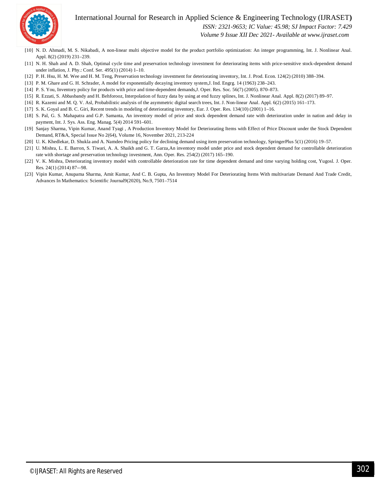



 *ISSN: 2321-9653; IC Value: 45.98; SJ Impact Factor: 7.429*

 *Volume 9 Issue XII Dec 2021- Available at www.ijraset.com*

- [10] N. D. Ahmadi, M. S. Nikabadi, A non-linear multi objective model for the product portfolio optimization: An integer programming, Int. J. Nonlinear Anal. Appl. 8(2) (2019) 231–239.
- [11] N. H. Shah and A. D. Shah, Optimal cycle time and preservation technology investment for deteriorating items with price-sensitive stock-dependent demand under inflation, J. Phy.: Conf. Ser. 495(1) (2014) 1–10.
- [12] P. H. Hsu, H. M. Wee and H. M. Teng, Preservation technology investment for deteriorating inventory, Int. J. Prod. Econ. 124(2) (2010) 388–394.
- [13] P. M. Ghare and G. H. Schrader, A model for exponentially decaying inventory system,J. Ind. Engrg. 14 (1963) 238–243.
- [14] P. S. You, Inventory policy for products with price and time-dependent demands,J. Oper. Res. Soc. 56(7) (2005). 870–873.
- [15] R. Ezzati, S. Abbasbandy and H. Behforooz, Interpolation of fuzzy data by using at end fuzzy splines, Int. J. Nonlinear Anal. Appl. 8(2) (2017) 89–97.
- [16] R. Kazemi and M. Q. V. Asl, Probabilistic analysis of the asymmetric digital search trees, Int. J. Non-linear Anal. Appl. 6(2) (2015) 161–173.
- [17] S. K. Goyal and B. C. Giri, Recent trends in modeling of deteriorating inventory, Eur. J. Oper. Res. 134(10) (2001) 1–16.
- [18] S. Pal, G. S. Mahapatra and G.P. Samanta, An inventory model of price and stock dependent demand rate with deterioration under in nation and delay in payment, Int. J. Sys. Ass. Eng. Manag. 5(4) 2014 591–601.
- [19] Sanjay Sharma, Vipin Kumar, Anand Tyagi , A Production Inventory Model for Deteriorating Items with Effect of Price Discount under the Stock Dependent Demand, RT&A, Special Issue No 2(64), Volume 16, November 2021, 213-224
- [20] U. K. Khedlekar, D. Shukla and A. Namdeo Pricing policy for declining demand using item preservation technology, SpringerPlus 5(1) (2016) 19–57.
- [21] U. Mishra, L. E. Barron, S. Tiwari, A. A. Shaikh and G. T. Garza,An inventory model under price and stock dependent demand for controllable deterioration rate with shortage and preservation technology investment, Ann. Oper. Res. 254(2) (2017) 165–190.
- [22] V. K. Mishra, Deteriorating inventory model with controllable deterioration rate for time dependent demand and time varying holding cost, Yugosl. J. Oper. Res. 24(1) (2014) 87-–98.
- [23] Vipin Kumar, Anupama Sharma, Amit Kumar, And C. B. Gupta, An Inventory Model For Deteriorating Items With multivariate Demand And Trade Credit, Advances In Mathematics: Scientific Journal9(2020), No.9, 7501–7514